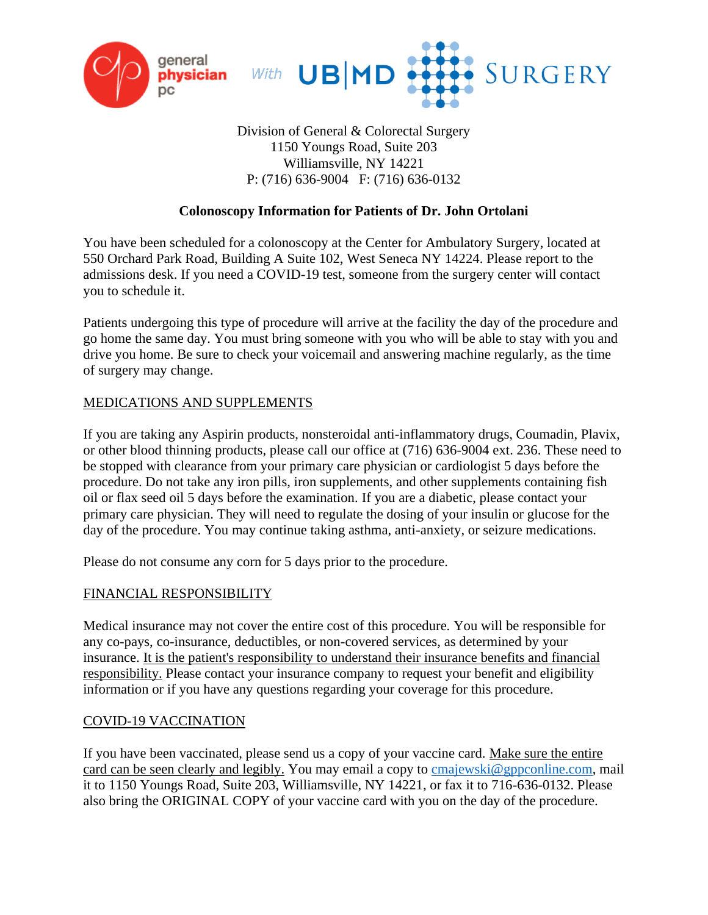



# Division of General & Colorectal Surgery 1150 Youngs Road, Suite 203 Williamsville, NY 14221 P: (716) 636-9004 F: (716) 636-0132

# **Colonoscopy Information for Patients of Dr. John Ortolani**

You have been scheduled for a colonoscopy at the Center for Ambulatory Surgery, located at 550 Orchard Park Road, Building A Suite 102, West Seneca NY 14224. Please report to the admissions desk. If you need a COVID-19 test, someone from the surgery center will contact you to schedule it.

Patients undergoing this type of procedure will arrive at the facility the day of the procedure and go home the same day. You must bring someone with you who will be able to stay with you and drive you home. Be sure to check your voicemail and answering machine regularly, as the time of surgery may change.

#### MEDICATIONS AND SUPPLEMENTS

If you are taking any Aspirin products, nonsteroidal anti-inflammatory drugs, Coumadin, Plavix, or other blood thinning products, please call our office at (716) 636-9004 ext. 236. These need to be stopped with clearance from your primary care physician or cardiologist 5 days before the procedure. Do not take any iron pills, iron supplements, and other supplements containing fish oil or flax seed oil 5 days before the examination. If you are a diabetic, please contact your primary care physician. They will need to regulate the dosing of your insulin or glucose for the day of the procedure. You may continue taking asthma, anti-anxiety, or seizure medications.

Please do not consume any corn for 5 days prior to the procedure.

#### FINANCIAL RESPONSIBILITY

Medical insurance may not cover the entire cost of this procedure. You will be responsible for any co-pays, co-insurance, deductibles, or non-covered services, as determined by your insurance. It is the patient's responsibility to understand their insurance benefits and financial responsibility. Please contact your insurance company to request your benefit and eligibility information or if you have any questions regarding your coverage for this procedure.

#### COVID-19 VACCINATION

If you have been vaccinated, please send us a copy of your vaccine card. Make sure the entire card can be seen clearly and legibly. You may email a copy to [cmajewski@gppconline.com,](mailto:cmajewski@gppconline.com) mail it to 1150 Youngs Road, Suite 203, Williamsville, NY 14221, or fax it to 716-636-0132. Please also bring the ORIGINAL COPY of your vaccine card with you on the day of the procedure.